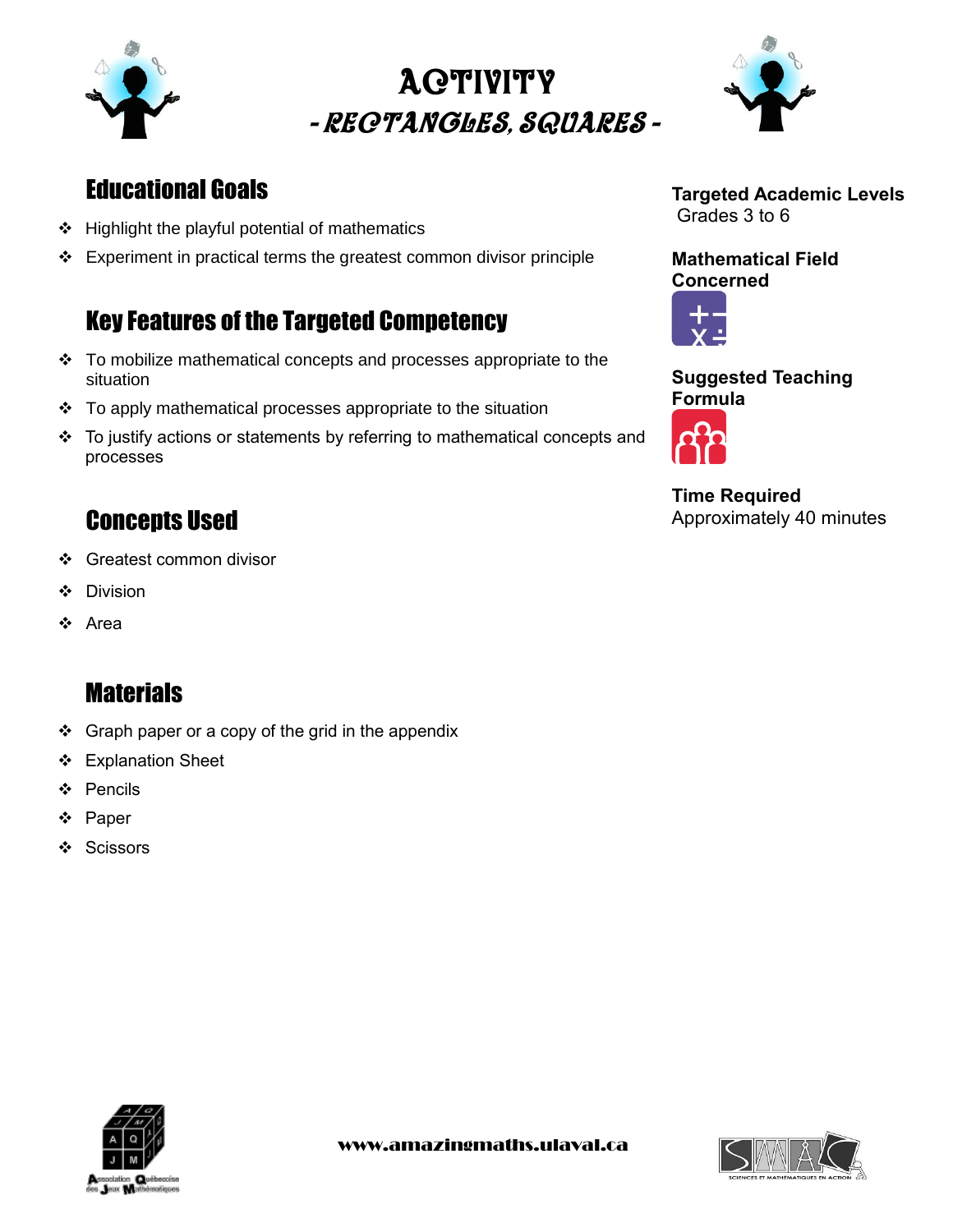

# - Rectangles, squares - ACTIVITY



### Educational Goals

- Highlight the playful potential of mathematics
- $\div$  Experiment in practical terms the greatest common divisor principle

### Key Features of the Targeted Competency

- \* To mobilize mathematical concepts and processes appropriate to the situation
- To apply mathematical processes appropriate to the situation
- To justify actions or statements by referring to mathematical concepts and processes

### Concepts Used

- ❖ Greatest common divisor
- Division
- ❖ Area

### **Materials**

- $\div$  Graph paper or a copy of the grid in the appendix
- ❖ Explanation Sheet
- Pencils
- ❖ Paper
- ❖ Scissors

#### **Targeted Academic Levels** Grades 3 to 6

**Mathematical Field Concerned**



#### **Suggested Teaching Formula**



**Time Required** Approximately 40 minutes



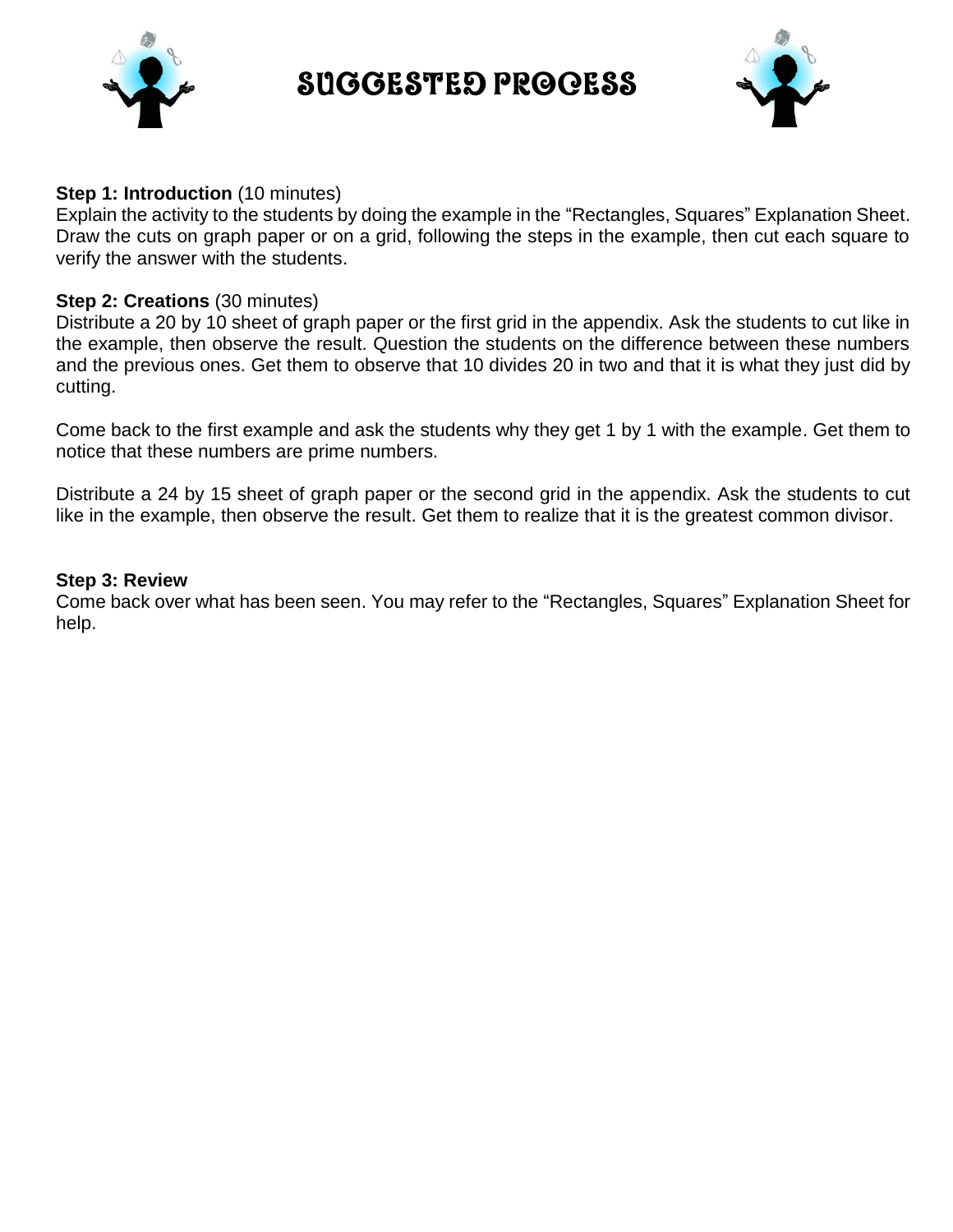

Suggested Process



#### **Step 1: Introduction** (10 minutes)

Explain the activity to the students by doing the example in the "Rectangles, Squares" Explanation Sheet. Draw the cuts on graph paper or on a grid, following the steps in the example, then cut each square to verify the answer with the students.

#### **Step 2: Creations** (30 minutes)

Distribute a 20 by 10 sheet of graph paper or the first grid in the appendix. Ask the students to cut like in the example, then observe the result. Question the students on the difference between these numbers and the previous ones. Get them to observe that 10 divides 20 in two and that it is what they just did by cutting.

Come back to the first example and ask the students why they get 1 by 1 with the example. Get them to notice that these numbers are prime numbers.

Distribute a 24 by 15 sheet of graph paper or the second grid in the appendix. Ask the students to cut like in the example, then observe the result. Get them to realize that it is the greatest common divisor.

#### **Step 3: Review**

Come back over what has been seen. You may refer to the "Rectangles, Squares" Explanation Sheet for help.